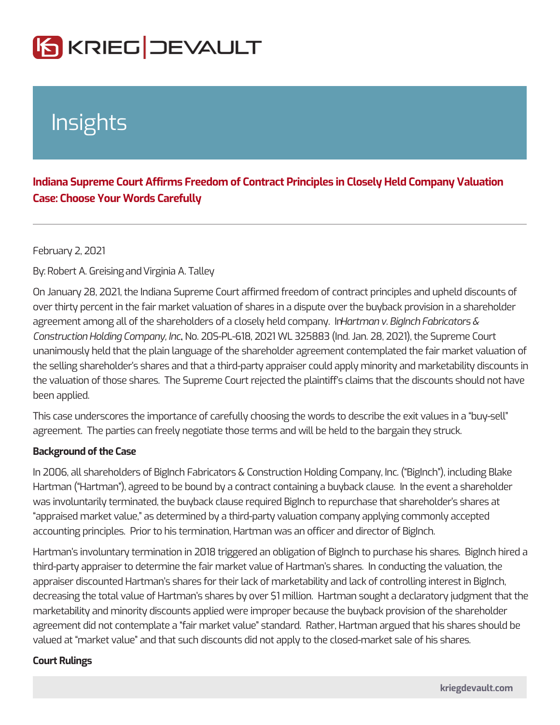## Insights

Indiana Supreme Court Affirms Freedom of Contract Principles in Closely Case: Choose Your Words Carefully

February 2, 2021

ByRobert A. Granshirginia A. Talley

On January 28, 2021, the Indiana Supreme Court affirmed freedom of contract pr over thirty percent in the fair market valuation of shares in a dispute over the bu agreement among all of the shareholders of a cHossmethy alme ld Boogninahy. Fabricators & Construction Holding Company, SImPd-618, 2021 WL 325883 (Ind. Jan. 28, 2021), the Supreme Construction unanimously held that the plain language of the shareholder agreement contempl the selling shareholder s shares and that a third-party appraiser could apply min the valuation of those shares. The Supreme Court rejected the plaintiff s claims been applied.

This case underscores the importance of carefully choosing the words to describe agreement. The parties can freely negotiate those terms and will be held to the

Background of the Case

In 2006, all shareholders of BigInch Fabricators & Construction Holding Company Hartman ( Hartman ), agreed to be bound by a contract containing a buyback claus was involuntarily terminated, the buyback clause required BigInch to repurchase appraised market value, as determined by a third-party valuation company apply accounting principles. Prior to his termination, Hartman was an officer and dired

Hartman s involuntary termination in 2018 triggered an obligation of BigInch to p third-party appraiser to determine the fair market value of Hartman s shares. In appraiser discounted Hartman s shares for their lack of marketability and lack of decreasing the total value of Hartman s shares by over \$1 million. Hartman soug marketability and minority discounts applied were improper because the buyback agreement did not contemplate a fair market value standard. Rather, Hartman a valued at market value and that such discounts did not apply to the closed-mar

Court Rulings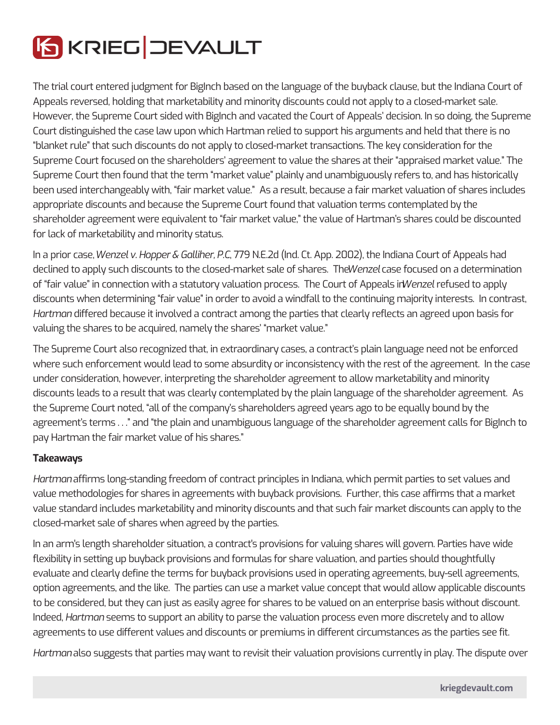

The trial court entered judgment for BigInch based on the language of the buyback clause, but the Indiana Court of Appeals reversed, holding that marketability and minority discounts could not apply to a closed-market sale. However, the Supreme Court sided with BigInch and vacated the Court of Appeals' decision. In so doing, the Supreme Court distinguished the case law upon which Hartman relied to support his arguments and held that there is no "blanket rule" that such discounts do not apply to closed-market transactions. The key consideration for the Supreme Court focused on the shareholders' agreement to value the shares at their "appraised market value." The Supreme Court then found that the term "market value" plainly and unambiguously refers to, and has historically been used interchangeably with, "fair market value." As a result, because a fair market valuation of shares includes appropriate discounts and because the Supreme Court found that valuation terms contemplated by the shareholder agreement were equivalent to "fair market value," the value of Hartman's shares could be discounted for lack of marketability and minority status.

In a prior case, *Wenzel v. Hopper & Galliher, P.C*., 779 N.E.2d (Ind. Ct. App. 2002), the Indiana Court of Appeals had declined to apply such discounts to the closed-market sale of shares. The *Wenzel* case focused on a determination of "fair value" in connection with a statutory valuation process. The Court of Appeals in *Wenzel* refused to apply discounts when determining "fair value" in order to avoid a windfall to the continuing majority interests. In contrast, *Hartman* differed because it involved a contract among the parties that clearly reflects an agreed upon basis for valuing the shares to be acquired, namely the shares' "market value."

The Supreme Court also recognized that, in extraordinary cases, a contract's plain language need not be enforced where such enforcement would lead to some absurdity or inconsistency with the rest of the agreement. In the case under consideration, however, interpreting the shareholder agreement to allow marketability and minority discounts leads to a result that was clearly contemplated by the plain language of the shareholder agreement. As the Supreme Court noted, "all of the company's shareholders agreed years ago to be equally bound by the agreement's terms . . ." and "the plain and unambiguous language of the shareholder agreement calls for BigInch to pay Hartman the fair market value of his shares."

## **Takeaways**

*Hartman* affirms long-standing freedom of contract principles in Indiana, which permit parties to set values and value methodologies for shares in agreements with buyback provisions. Further, this case affirms that a market value standard includes marketability and minority discounts and that such fair market discounts can apply to the closed-market sale of shares when agreed by the parties.

In an arm's length shareholder situation, a contract's provisions for valuing shares will govern. Parties have wide flexibility in setting up buyback provisions and formulas for share valuation, and parties should thoughtfully evaluate and clearly define the terms for buyback provisions used in operating agreements, buy-sell agreements, option agreements, and the like. The parties can use a market value concept that would allow applicable discounts to be considered, but they can just as easily agree for shares to be valued on an enterprise basis without discount. Indeed, *Hartman* seems to support an ability to parse the valuation process even more discretely and to allow agreements to use different values and discounts or premiums in different circumstances as the parties see fit.

*Hartman* also suggests that parties may want to revisit their valuation provisions currently in play. The dispute over